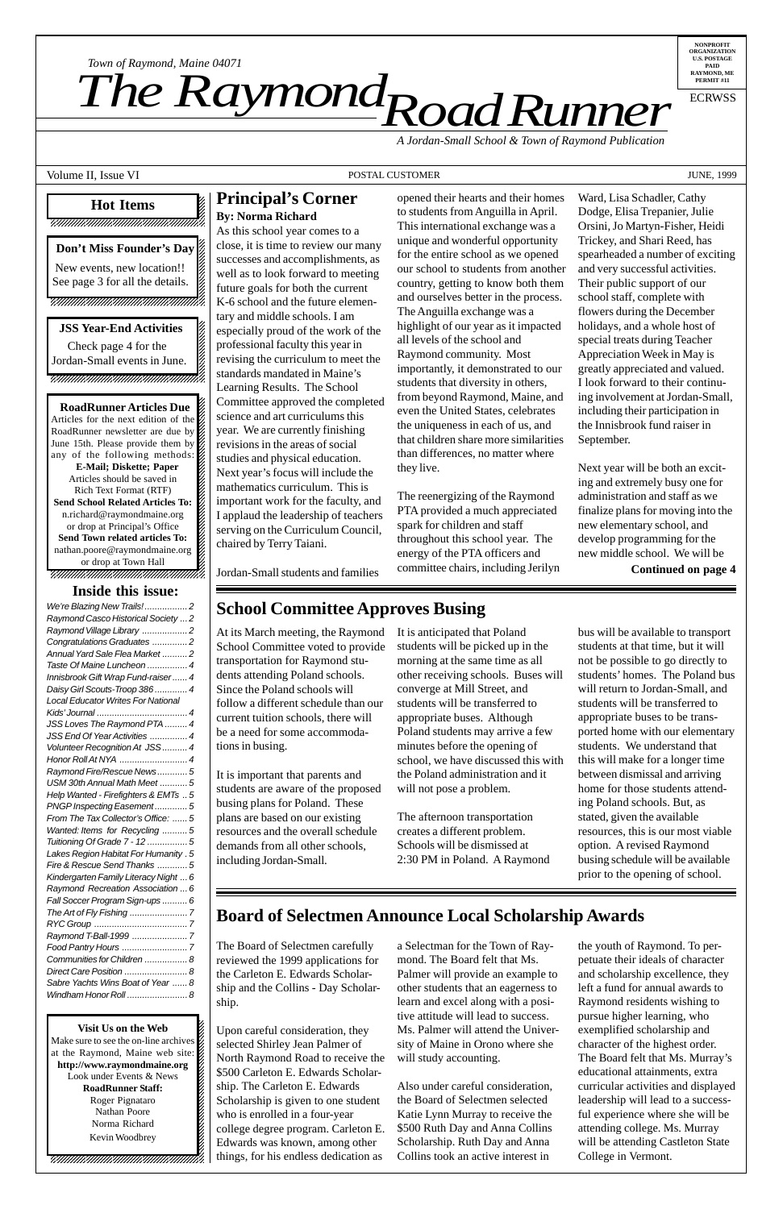12345678901234567890123456789012345678901234578901234567890123456789012345678901234567890123456789012345678901 12345678901234567890123456789012123456789012345

**RoadRunner Articles Due** Articles for the next edition of the  $\%$ 12345678901234567890123456789012123456789012345 RoadRunner newsletter are due by  $\%$ June 15th. Please provide them by  $\cancel{\mathscr{C}}$ any of the following methods:  $\%$ 12345678901234567890123456789012123456789012345 **E-Mail; Diskette; Paper** Articles should be saved in  $\mathscr{D}$ 12345678901234567890123456789012123456789012345 Rich Text Format (RTF) **Send School Related Articles To:** 12345678901234567890123456789012123456789012345 n.richard@raymondmaine.org 12345678901234567890123456789012123456789012345 or drop at Principal's Office **Send Town related articles To:** 12345678901234567890123456789012123456789012345 nathan.poore@raymondmaine.org or drop at Town Hall 12345678901234567890123456789012123456789012345

12345678901234567890123456789012123456789012345 12345678901234567890123456789012123456789012345

#### 12345678901234567890123456789012345678901234567890123456789012345678901234567890123456789012345678901234567890 **Hot Items** 12345678901234567890123456789012123456789012345 12345678901234567890123456789012123456789012345 12345678901234567890123456789012123456789012345 12345678901234567890123456789012123456789012345

*Road Runner Town of Raymond, Maine 04071*<br>**The Raymond, Department** 

12345678901234567890123456789012123456789012345 12345678901234567890123456789012123456789012345 12345678901234567890123456789012123456789012345

12345678901234567890123456789012345678901234567890123456789012345678901234567890123456789012345678901234567890

**NONPROFIT ORGANIZATION U.S. POSTAGE PAID RAYMOND, ME PERMIT #11**

*Town of Raymond, Maine 04071*

ECRWSS

*A Jordan-Small School & Town of Raymond Publication*

Volume II, Issue VI **POSTAL CUSTOMER POSTAL CUSTOMER Superior** 1999

#### **Principal's Corner By: Norma Richard**

As this school year comes to a close, it is time to review our many successes and accomplishments, as well as to look forward to meeting future goals for both the current K-6 school and the future elementary and middle schools. I am especially proud of the work of the professional faculty this year in revising the curriculum to meet the standards mandated in Maine's Learning Results. The School Committee approved the completed science and art curriculums this year. We are currently finishing revisions in the areas of social studies and physical education. Next year's focus will include the mathematics curriculum. This is important work for the faculty, and I applaud the leadership of teachers serving on the Curriculum Council,

chaired by Terry Taiani.

**Visit Us on the Web** 12345678901234567890123456789012123456789012345  $123$ Make sure to see the on-line archives  $\mathcal{Z}$ at the Raymond, Maine web site:  $\frac{2}{3}$ 12345678901234567890123456789012123456789012345 http://www.raymondmaine.org Look under Events & News  $\frac{2}{3}$  $1235678901234567890123456789012345678901234567890123456789012345678901234567890123456789012345678901234567890123456789012345678901234567890123456789012345678901234567890123456789012345678901234567890123456789012345678901$ **RoadRunner Staff:** Roger Pignataro Nathan Poore 22  $123$ Norma Richard 22  $1235678901234589012345678901234567890123456789012345678901234567890123456789012345678901234567890123456789012345678901234567890123456789012345678901234567890123456789012345678901234567890123456789012345678901234567890123$ Kevin Woodbrey 22  $1$  5  $-$  5  $-$  5  $-$  5  $-$  5  $-$  5  $-$  5  $-$  5  $-$  5  $-$  5  $-$  5  $-$  5  $-$  5  $-$  5  $-$  5  $-$  5  $-$  5  $-$  5  $-$  5  $-$  5  $-$  5  $-$  5  $-$  5  $-$  5  $-$  5  $-$  5  $-$  5  $-$  5  $-$  5  $-$  5  $-$  5  $-$  5  $-$  5  $-$  5  $-$  5  $-$  5  $-$  5  $1235678901234567890123456789012345678901234567890123456789012345678901234567890123456789012345678901234567890123456789012345678901234567890123456789012345678901234567890123456789012345678901234567890123456789012345678901$  $1235678901234567890123456789012345678901234567890123456789012345678901234567890123456789012345678901234567890123456789012345678901234567890123456789012345678901234567890123456789012345678901234567890123456789012345678901$ 

 $\blacksquare$  Check page 4 for the 12345678901234567890123456789012123456789012345 **Jordan-Small events in June.** 12345678901234567890123456789012123456789012345

Jordan-Small students and families

opened their hearts and their homes to students from Anguilla in April. This international exchange was a unique and wonderful opportunity for the entire school as we opened our school to students from another country, getting to know both them and ourselves better in the process. The Anguilla exchange was a highlight of our year as it impacted all levels of the school and Raymond community. Most importantly, it demonstrated to our students that diversity in others, from beyond Raymond, Maine, and even the United States, celebrates the uniqueness in each of us, and that children share more similarities than differences, no matter where they live.

The reenergizing of the Raymond PTA provided a much appreciated spark for children and staff throughout this school year. The energy of the PTA officers and committee chairs, including Jerilyn

| We're Blazing New Trails!2                |
|-------------------------------------------|
| Raymond Casco Historical Society  2       |
| Raymond Village Library 2                 |
| Congratulations Graduates 2               |
| Annual Yard Sale Flea Market 2            |
| Taste Of Maine Luncheon  4                |
| Innisbrook Gift Wrap Fund-raiser 4        |
| Daisy Girl Scouts-Troop 386  4            |
| <b>Local Educator Writes For National</b> |
|                                           |
| JSS Loves The Raymond PTA  4              |
| JSS End Of Year Activities  4             |
| Volunteer Recognition At JSS  4           |
| Honor Roll At NYA  4                      |
| Raymond Fire/Rescue News5                 |
| USM 30th Annual Math Meet 5               |
| Help Wanted - Firefighters & EMTs  5      |
| PNGP Inspecting Easement5                 |
| From The Tax Collector's Office:  5       |
| Wanted: Items for Recycling 5             |
| Tuitioning Of Grade 7 - 12  5             |
| Lakes Region Habitat For Humanity . 5     |
| Fire & Rescue Send Thanks 5               |
| Kindergarten Family Literacy Night  6     |
| Raymond Recreation Association  6         |
| Fall Soccer Program Sign-ups  6           |
|                                           |
|                                           |
|                                           |
|                                           |
| Communities for Children  8               |
| Direct Care Position  8                   |
| Sabre Yachts Wins Boat of Year  8         |
| Windham Honor Roll  8                     |

Ward, Lisa Schadler, Cathy Dodge, Elisa Trepanier, Julie Orsini, Jo Martyn-Fisher, Heidi Trickey, and Shari Reed, has spearheaded a number of exciting and very successful activities. Their public support of our school staff, complete with flowers during the December holidays, and a whole host of special treats during Teacher Appreciation Week in May is greatly appreciated and valued. I look forward to their continuing involvement at Jordan-Small, including their participation in the Innisbrook fund raiser in September.

Next year will be both an exciting and extremely busy one for administration and staff as we finalize plans for moving into the new elementary school, and develop programming for the new middle school. We will be

**Continued on page 4**

#### **School Committee Approves Busing**

At its March meeting, the Raymond School Committee voted to provide transportation for Raymond students attending Poland schools. Since the Poland schools will follow a different schedule than our current tuition schools, there will be a need for some accommodations in busing.

It is important that parents and students are aware of the proposed busing plans for Poland. These plans are based on our existing resources and the overall schedule demands from all other schools, including Jordan-Small.

It is anticipated that Poland students will be picked up in the morning at the same time as all other receiving schools. Buses will converge at Mill Street, and students will be transferred to appropriate buses. Although Poland students may arrive a few minutes before the opening of school, we have discussed this with the Poland administration and it will not pose a problem.

The afternoon transportation creates a different problem. Schools will be dismissed at 2:30 PM in Poland. A Raymond bus will be available to transport students at that time, but it will not be possible to go directly to students' homes. The Poland bus will return to Jordan-Small, and students will be transferred to appropriate buses to be transported home with our elementary students. We understand that this will make for a longer time between dismissal and arriving home for those students attending Poland schools. But, as stated, given the available resources, this is our most viable option. A revised Raymond busing schedule will be available prior to the opening of school.

#### **Board of Selectmen Announce Local Scholarship Awards**

The Board of Selectmen carefully reviewed the 1999 applications for the Carleton E. Edwards Scholarship and the Collins - Day Scholarship.

Upon careful consideration, they selected Shirley Jean Palmer of North Raymond Road to receive the \$500 Carleton E. Edwards Scholarship. The Carleton E. Edwards Scholarship is given to one student who is enrolled in a four-year college degree program. Carleton E. Edwards was known, among other things, for his endless dedication as

a Selectman for the Town of Raymond. The Board felt that Ms. Palmer will provide an example to other students that an eagerness to learn and excel along with a positive attitude will lead to success. Ms. Palmer will attend the University of Maine in Orono where she will study accounting.

Also under careful consideration, the Board of Selectmen selected Katie Lynn Murray to receive the \$500 Ruth Day and Anna Collins Scholarship. Ruth Day and Anna Collins took an active interest in

the youth of Raymond. To perpetuate their ideals of character and scholarship excellence, they left a fund for annual awards to Raymond residents wishing to pursue higher learning, who exemplified scholarship and character of the highest order. The Board felt that Ms. Murray's educational attainments, extra curricular activities and displayed leadership will lead to a successful experience where she will be attending college. Ms. Murray will be attending Castleton State College in Vermont.

12345678901234567890123456789012123456789012345 **Don't Miss Founder's Day** 12345678901234567890123456789012123456789012345 12345678901234567890123456789012123456789012345 New events, new location!! See page 3 for all the details. 12345678901234567890123456789012123456789012345 12345678901234567890123456789012123456789012345 12345678901234567890123456789012123456789012345 12345678901234567890123456789012123456789012345 12345678901234567890123456789012123456789012345

12345678901234567890123456789012345678901234567890123456789012345678901234567890123456789012345678901234567890

#### 12345678901234567890123456789012123456789012345 **JSS Year-End Activities** 12345678901234567890123456789012123456789012345 12345678901234567890123456789012123456789012345

12345678901234567890123456789012123456789012345 12345678901234567890123456789012123456789012345 12345678901234567890123456789012123456789012345

#### **Inside this issue:**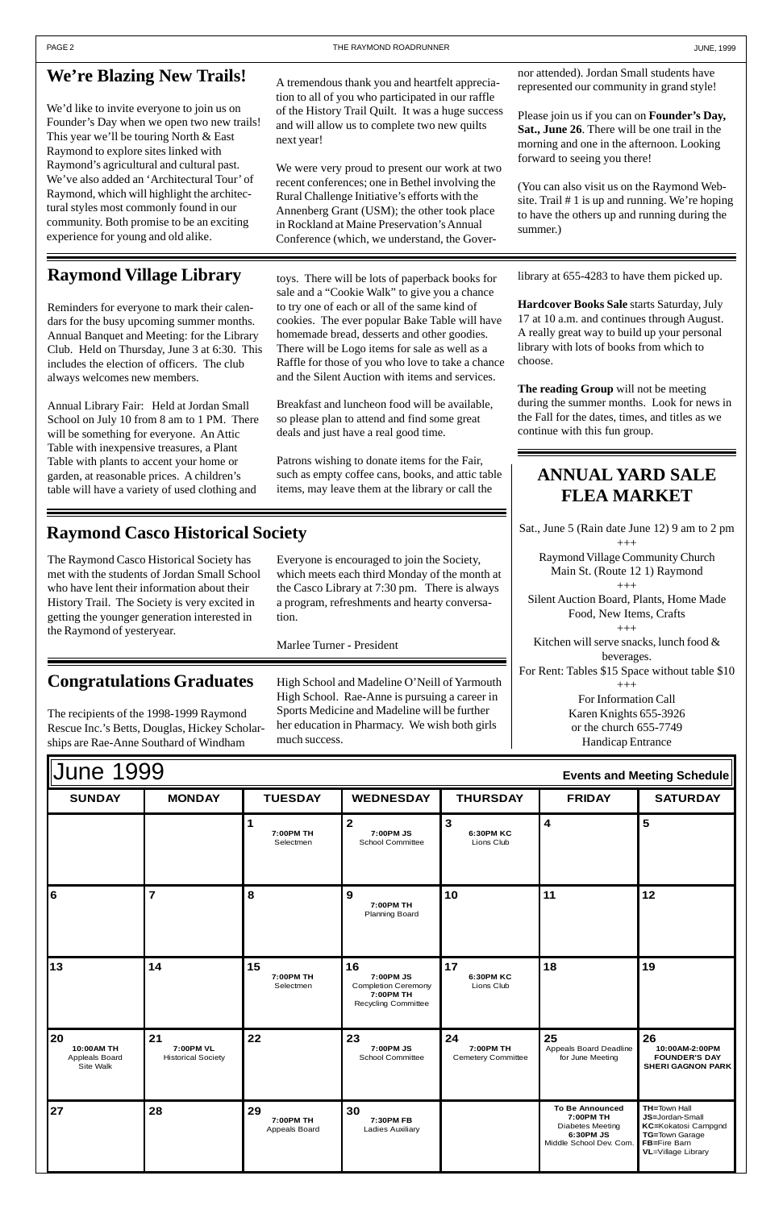| <b>IJune 1999</b><br>Events and Meeting Schedule |               |                        |                               |                               |               |                 |  |  |  |
|--------------------------------------------------|---------------|------------------------|-------------------------------|-------------------------------|---------------|-----------------|--|--|--|
| <b>SUNDAY</b>                                    | <b>MONDAY</b> | <b>TUESDAY</b>         | <b>WEDNESDAY</b>              | <b>THURSDAY</b>               | <b>FRIDAY</b> | <b>SATURDAY</b> |  |  |  |
|                                                  |               | 7:00PM TH<br>Selectmen | 7:00PM JS<br>School Committee | J.<br>6:30PM KC<br>Lions Club |               | э               |  |  |  |

| 16                                              | $\overline{7}$                               | 8                                | $\boldsymbol{9}$<br>7:00PM TH<br><b>Planning Board</b>                                   | 10                                           | 11                                                                   | 12                                                                              |
|-------------------------------------------------|----------------------------------------------|----------------------------------|------------------------------------------------------------------------------------------|----------------------------------------------|----------------------------------------------------------------------|---------------------------------------------------------------------------------|
| 13                                              | 14                                           | 15<br>7:00PM TH<br>Selectmen     | 16<br>7:00PM JS<br><b>Completion Ceremony</b><br>7:00PM TH<br><b>Recycling Committee</b> | 17<br>6:30PM KC<br>Lions Club                | 18                                                                   | 19                                                                              |
| 20<br>10:00AM TH<br>Appleals Board<br>Site Walk | 21<br>7:00PM VL<br><b>Historical Society</b> | 22                               | 23<br>7:00PM JS<br><b>School Committee</b>                                               | 24<br>7:00PM TH<br><b>Cemetery Committee</b> | 25<br>Appeals Board Deadline<br>for June Meeting                     | 26<br>10:00AM-2:00PM<br><b>FOUNDER'S DAY</b><br><b>SHERI GAGNON PARK</b>        |
| 27                                              | 28                                           | 29<br>7:00PM TH<br>Appeals Board | 30<br>7:30PM FB<br>Ladies Auxiliary                                                      |                                              | <b>To Be Announced</b><br>7:00PM TH<br>Diabetes Meeting<br>6:30PM JS | <b>TH=Town Hall</b><br>JS=Jordan-Small<br>KC=Kokatosi Campgnd<br>TG=Town Garage |

We'd like to invite everyone to join us on Founder's Day when we open two new trails! This year we'll be touring North & East Raymond to explore sites linked with Raymond's agricultural and cultural past. We've also added an 'Architectural Tour' of Raymond, which will highlight the architectural styles most commonly found in our community. Both promise to be an exciting experience for young and old alike.

# **We're Blazing New Trails!**

# **Raymond Village Library**

Reminders for everyone to mark their calendars for the busy upcoming summer months. Annual Banquet and Meeting: for the Library Club. Held on Thursday, June 3 at 6:30. This includes the election of officers. The club always welcomes new members.

Annual Library Fair: Held at Jordan Small School on July 10 from 8 am to 1 PM. There will be something for everyone. An Attic Table with inexpensive treasures, a Plant Table with plants to accent your home or garden, at reasonable prices. A children's table will have a variety of used clothing and

## **Raymond Casco Historical Society**

#### **ANNUAL YARD SALE FLEA MARKET**

Sat., June 5 (Rain date June 12) 9 am to 2 pm  $^{+++}$ Raymond Village Community Church Main St. (Route 12 1) Raymond +++ Silent Auction Board, Plants, Home Made Food, New Items, Crafts  $^{+++}$ Kitchen will serve snacks, lunch food & beverages. For Rent: Tables \$15 Space without table \$10  $^{+++}$ For Information Call Karen Knights 655-3926 or the church 655-7749

Handicap Entrance

A tremendous thank you and heartfelt appreciation to all of you who participated in our raffle of the History Trail Quilt. It was a huge success and will allow us to complete two new quilts next year!

We were very proud to present our work at two recent conferences; one in Bethel involving the Rural Challenge Initiative's efforts with the Annenberg Grant (USM); the other took place in Rockland at Maine Preservation's Annual Conference (which, we understand, the Gover-

toys. There will be lots of paperback books for sale and a "Cookie Walk" to give you a chance to try one of each or all of the same kind of cookies. The ever popular Bake Table will have homemade bread, desserts and other goodies. There will be Logo items for sale as well as a Raffle for those of you who love to take a chance and the Silent Auction with items and services.

Breakfast and luncheon food will be available, so please plan to attend and find some great deals and just have a real good time.

Patrons wishing to donate items for the Fair, such as empty coffee cans, books, and attic table items, may leave them at the library or call the

nor attended). Jordan Small students have represented our community in grand style!

Please join us if you can on **Founder's Day, Sat., June 26**. There will be one trail in the morning and one in the afternoon. Looking forward to seeing you there!

(You can also visit us on the Raymond Website. Trail # 1 is up and running. We're hoping to have the others up and running during the summer.)

library at 655-4283 to have them picked up.

**Hardcover Books Sale** starts Saturday, July 17 at 10 a.m. and continues through August. A really great way to build up your personal library with lots of books from which to choose.

**The reading Group** will not be meeting during the summer months. Look for news in the Fall for the dates, times, and titles as we continue with this fun group.

## **Congratulations Graduates**

The recipients of the 1998-1999 Raymond Rescue Inc.'s Betts, Douglas, Hickey Scholarships are Rae-Anne Southard of Windham

The Raymond Casco Historical Society has met with the students of Jordan Small School who have lent their information about their History Trail. The Society is very excited in getting the younger generation interested in the Raymond of yesteryear.

Everyone is encouraged to join the Society, which meets each third Monday of the month at the Casco Library at 7:30 pm. There is always a program, refreshments and hearty conversation.

Marlee Turner - President

High School and Madeline O'Neill of Yarmouth High School. Rae-Anne is pursuing a career in Sports Medicine and Madeline will be further her education in Pharmacy. We wish both girls much success.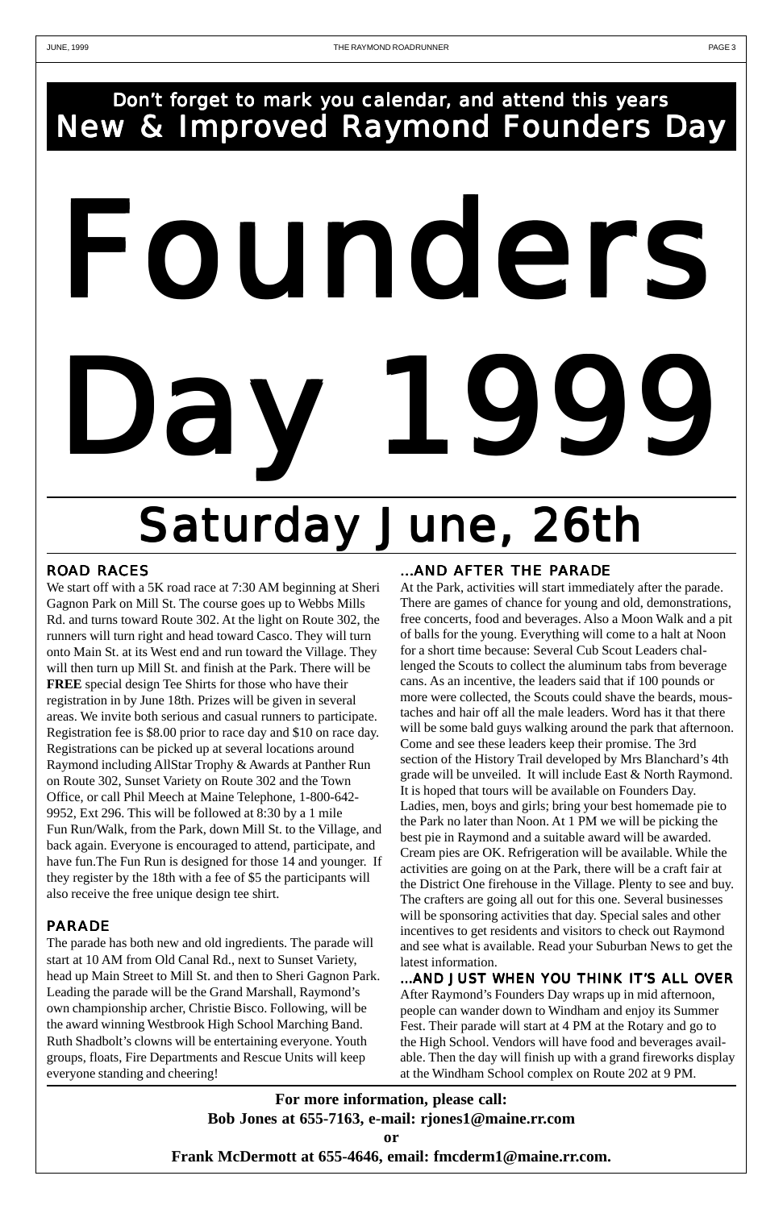# Don't forget to mark you calendar, and attend this years New & Improved Raymond Founders Day ounders Day 1999 Saturday June, 26th

#### **ROAD RACES**

We start off with a 5K road race at 7:30 AM beginning at Sheri Gagnon Park on Mill St. The course goes up to Webbs Mills Rd. and turns toward Route 302. At the light on Route 302, the runners will turn right and head toward Casco. They will turn onto Main St. at its West end and run toward the Village. They will then turn up Mill St. and finish at the Park. There will be **FREE** special design Tee Shirts for those who have their registration in by June 18th. Prizes will be given in several areas. We invite both serious and casual runners to participate. Registration fee is \$8.00 prior to race day and \$10 on race day. Registrations can be picked up at several locations around Raymond including AllStar Trophy & Awards at Panther Run on Route 302, Sunset Variety on Route 302 and the Town Office, or call Phil Meech at Maine Telephone, 1-800-642- 9952, Ext 296. This will be followed at 8:30 by a 1 mile Fun Run/Walk, from the Park, down Mill St. to the Village, and back again. Everyone is encouraged to attend, participate, and have fun.The Fun Run is designed for those 14 and younger. If they register by the 18th with a fee of \$5 the participants will

#### ação rançada íslenska íslenska íslenska íslenska íslenska íslenska íslenska íslenska íslenska íslenska íslensk<br>Arabská fedra í fotballsti í settingum var á ferfinni íslenska íslenska íslenska íslenska íslenska íslenska í

also receive the free unique design tee shirt.

#### PARADE

The parade has both new and old ingredients. The parade will start at 10 AM from Old Canal Rd., next to Sunset Variety, head up Main Street to Mill St. and then to Sheri Gagnon Park. Leading the parade will be the Grand Marshall, Raymond's own championship archer, Christie Bisco. Following, will be the award winning Westbrook High School Marching Band. Ruth Shadbolt's clowns will be entertaining everyone. Youth groups, floats, Fire Departments and Rescue Units will keep everyone standing and cheering!

At the Park, activities will start immediately after the parade. There are games of chance for young and old, demonstrations, free concerts, food and beverages. Also a Moon Walk and a pit of balls for the young. Everything will come to a halt at Noon for a short time because: Several Cub Scout Leaders challenged the Scouts to collect the aluminum tabs from beverage cans. As an incentive, the leaders said that if 100 pounds or more were collected, the Scouts could shave the beards, moustaches and hair off all the male leaders. Word has it that there will be some bald guys walking around the park that afternoon. Come and see these leaders keep their promise. The 3rd section of the History Trail developed by Mrs Blanchard's 4th grade will be unveiled. It will include East & North Raymond. It is hoped that tours will be available on Founders Day. Ladies, men, boys and girls; bring your best homemade pie to the Park no later than Noon. At 1 PM we will be picking the best pie in Raymond and a suitable award will be awarded. Cream pies are OK. Refrigeration will be available. While the activities are going on at the Park, there will be a craft fair at the District One firehouse in the Village. Plenty to see and buy. The crafters are going all out for this one. Several businesses will be sponsoring activities that day. Special sales and other incentives to get residents and visitors to check out Raymond and see what is available. Read your Suburban News to get the latest information. ...AND JUST WHEN YOU THINK IT'S ALL OVER After Raymond's Founders Day wraps up in mid afternoon, people can wander down to Windham and enjoy its Summer Fest. Their parade will start at 4 PM at the Rotary and go to the High School. Vendors will have food and beverages available. Then the day will finish up with a grand fireworks display at the Windham School complex on Route 202 at 9 PM.

**For more information, please call: Bob Jones at 655-7163, e-mail: rjones1@maine.rr.com**

**or**

**Frank McDermott at 655-4646, email: fmcderm1@maine.rr.com.**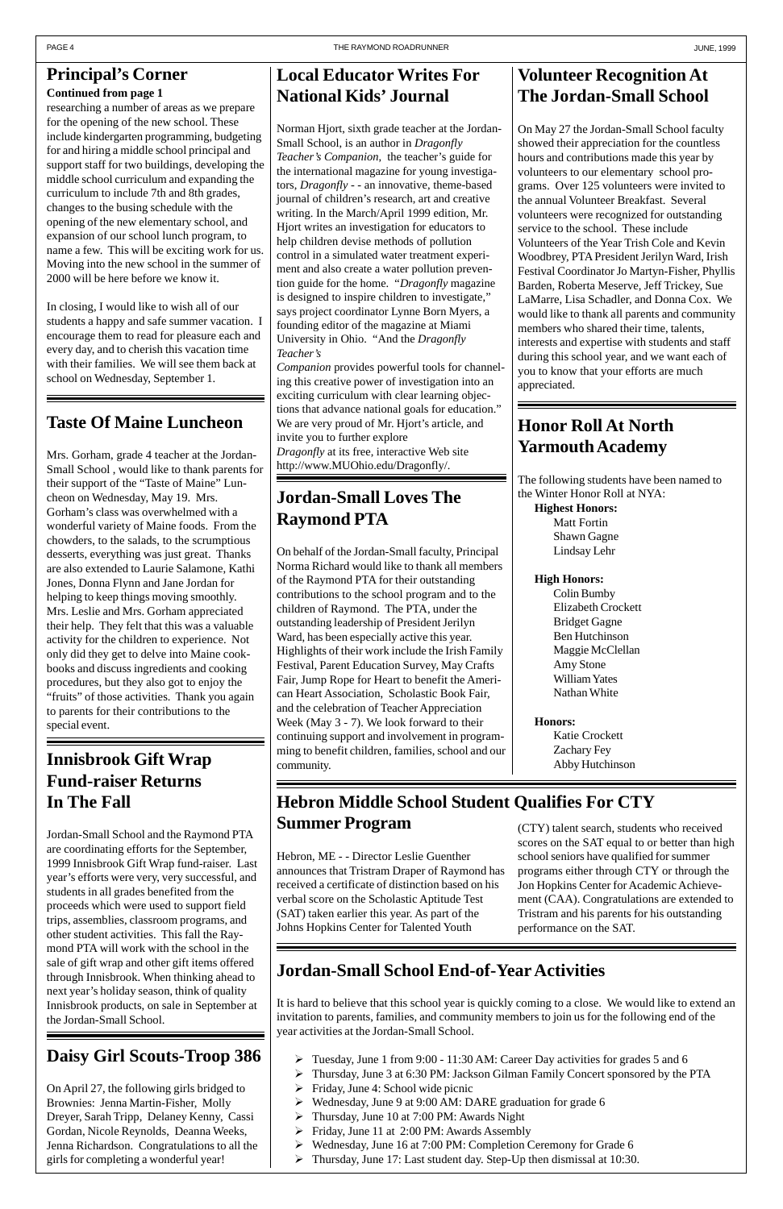researching a number of areas as we prepare for the opening of the new school. These include kindergarten programming, budgeting for and hiring a middle school principal and support staff for two buildings, developing the middle school curriculum and expanding the curriculum to include 7th and 8th grades, changes to the busing schedule with the opening of the new elementary school, and expansion of our school lunch program, to name a few. This will be exciting work for us. Moving into the new school in the summer of 2000 will be here before we know it.

In closing, I would like to wish all of our students a happy and safe summer vacation. I encourage them to read for pleasure each and every day, and to cherish this vacation time with their families. We will see them back at school on Wednesday, September 1.

#### **Continued from page 1**

#### **Taste Of Maine Luncheon**

Mrs. Gorham, grade 4 teacher at the Jordan-Small School , would like to thank parents for their support of the "Taste of Maine" Luncheon on Wednesday, May 19. Mrs. Gorham's class was overwhelmed with a wonderful variety of Maine foods. From the chowders, to the salads, to the scrumptious desserts, everything was just great. Thanks are also extended to Laurie Salamone, Kathi Jones, Donna Flynn and Jane Jordan for helping to keep things moving smoothly. Mrs. Leslie and Mrs. Gorham appreciated their help. They felt that this was a valuable activity for the children to experience. Not only did they get to delve into Maine cookbooks and discuss ingredients and cooking procedures, but they also got to enjoy the "fruits" of those activities. Thank you again to parents for their contributions to the special event.

## **Innisbrook Gift Wrap Fund-raiser Returns In The Fall**

Jordan-Small School and the Raymond PTA are coordinating efforts for the September, 1999 Innisbrook Gift Wrap fund-raiser. Last year's efforts were very, very successful, and students in all grades benefited from the proceeds which were used to support field trips, assemblies, classroom programs, and other student activities. This fall the Raymond PTA will work with the school in the sale of gift wrap and other gift items offered through Innisbrook. When thinking ahead to next year's holiday season, think of quality Innisbrook products, on sale in September at the Jordan-Small School.

## **Local Educator Writes For National Kids' Journal**

Norman Hjort, sixth grade teacher at the Jordan-Small School, is an author in *Dragonfly Teacher's Companion*, the teacher's guide for the international magazine for young investigators, *Dragonfly* - - an innovative, theme-based journal of children's research, art and creative writing. In the March/April 1999 edition, Mr. Hjort writes an investigation for educators to help children devise methods of pollution control in a simulated water treatment experiment and also create a water pollution prevention guide for the home. "*Dragonfly* magazine is designed to inspire children to investigate," says project coordinator Lynne Born Myers, a founding editor of the magazine at Miami University in Ohio. "And the *Dragonfly Teacher's*

# **Hebron Middle School Student Qualifies For CTY Summer Program** (CTY) talent search, students who received

*Companion* provides powerful tools for channeling this creative power of investigation into an exciting curriculum with clear learning objections that advance national goals for education." We are very proud of Mr. Hjort's article, and invite you to further explore *Dragonfly* at its free, interactive Web site http://www.MUOhio.edu/Dragonfly/.

# **Jordan-Small Loves The Raymond PTA**

On behalf of the Jordan-Small faculty, Principal Norma Richard would like to thank all members of the Raymond PTA for their outstanding contributions to the school program and to the children of Raymond. The PTA, under the outstanding leadership of President Jerilyn Ward, has been especially active this year. Highlights of their work include the Irish Family Festival, Parent Education Survey, May Crafts Fair, Jump Rope for Heart to benefit the American Heart Association, Scholastic Book Fair, and the celebration of Teacher Appreciation Week (May 3 - 7). We look forward to their continuing support and involvement in programming to benefit children, families, school and our community.

# **Jordan-Small School End-of-Year Activities**

It is hard to believe that this school year is quickly coming to a close. We would like to extend an invitation to parents, families, and community members to join us for the following end of the year activities at the Jordan-Small School.

- Tuesday, June 1 from 9:00 11:30 AM: Career Day activities for grades 5 and 6
- Thursday, June 3 at 6:30 PM: Jackson Gilman Family Concert sponsored by the PTA
- $\triangleright$  Friday, June 4: School wide picnic
- Wednesday, June 9 at 9:00 AM: DARE graduation for grade 6
- $\triangleright$  Thursday, June 10 at 7:00 PM: Awards Night
- $\triangleright$  Friday, June 11 at 2:00 PM: Awards Assembly
- Wednesday, June 16 at 7:00 PM: Completion Ceremony for Grade 6
- Thursday, June 17: Last student day. Step-Up then dismissal at 10:30.

# **Volunteer Recognition At The Jordan-Small School**

On May 27 the Jordan-Small School faculty showed their appreciation for the countless hours and contributions made this year by volunteers to our elementary school programs. Over 125 volunteers were invited to the annual Volunteer Breakfast. Several volunteers were recognized for outstanding service to the school. These include Volunteers of the Year Trish Cole and Kevin Woodbrey, PTA President Jerilyn Ward, Irish Festival Coordinator Jo Martyn-Fisher, Phyllis Barden, Roberta Meserve, Jeff Trickey, Sue LaMarre, Lisa Schadler, and Donna Cox. We would like to thank all parents and community members who shared their time, talents, interests and expertise with students and staff during this school year, and we want each of you to know that your efforts are much appreciated.

#### **Honor Roll At North Yarmouth Academy**

The following students have been named to the Winter Honor Roll at NYA:

**Highest Honors:**

Matt Fortin Shawn Gagne Lindsay Lehr

#### **High Honors:**

Colin Bumby Elizabeth Crockett Bridget Gagne Ben Hutchinson Maggie McClellan Amy Stone William Yates Nathan White

#### **Honors:**

Katie Crockett Zachary Fey Abby Hutchinson

## **Daisy Girl Scouts-Troop 386**

On April 27, the following girls bridged to Brownies: Jenna Martin-Fisher, Molly Dreyer, Sarah Tripp, Delaney Kenny, Cassi Gordan, Nicole Reynolds, Deanna Weeks, Jenna Richardson. Congratulations to all the girls for completing a wonderful year!

scores on the SAT equal to or better than high school seniors have qualified for summer programs either through CTY or through the

Jon Hopkins Center for Academic Achievement (CAA). Congratulations are extended to Tristram and his parents for his outstanding performance on the SAT.

Hebron, ME - - Director Leslie Guenther announces that Tristram Draper of Raymond has received a certificate of distinction based on his verbal score on the Scholastic Aptitude Test (SAT) taken earlier this year. As part of the Johns Hopkins Center for Talented Youth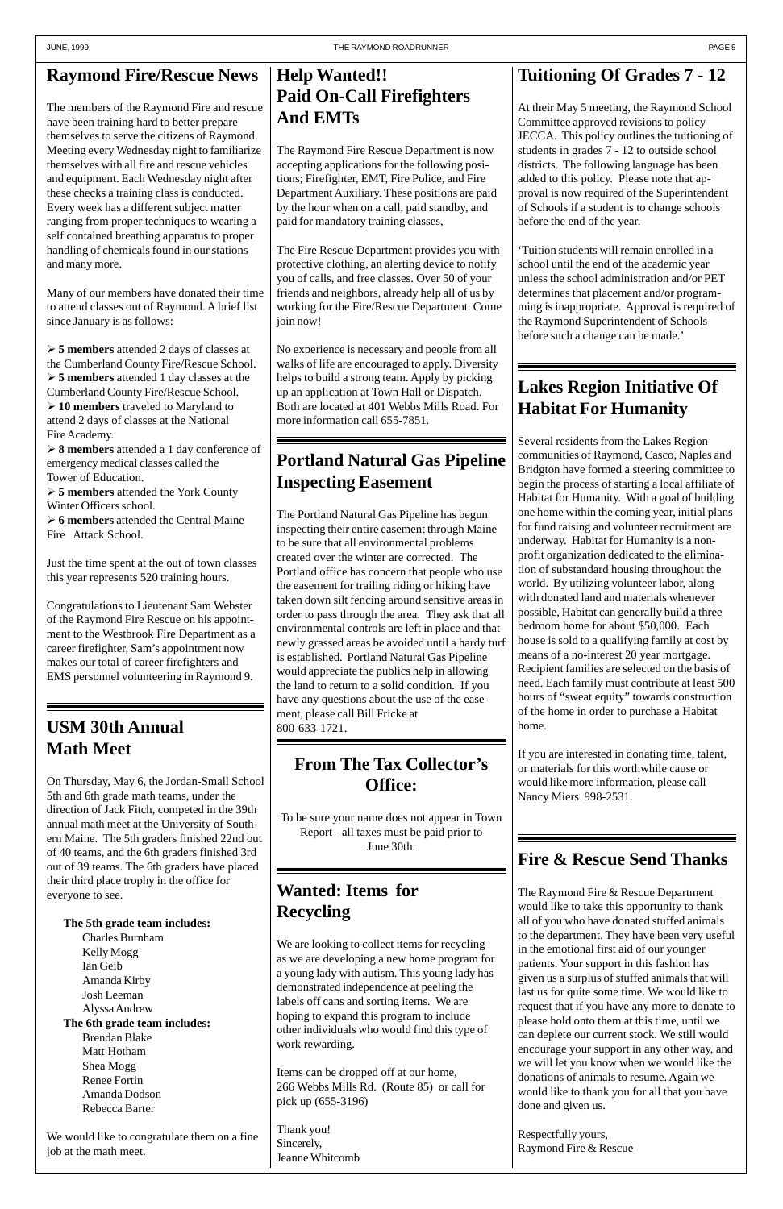# **Raymond Fire/Rescue News**

The members of the Raymond Fire and rescue have been training hard to better prepare themselves to serve the citizens of Raymond. Meeting every Wednesday night to familiarize themselves with all fire and rescue vehicles and equipment. Each Wednesday night after these checks a training class is conducted. Every week has a different subject matter ranging from proper techniques to wearing a self contained breathing apparatus to proper handling of chemicals found in our stations and many more.

Many of our members have donated their time to attend classes out of Raymond. A brief list since January is as follows:

 **5 members** attended 2 days of classes at the Cumberland County Fire/Rescue School. **5 members** attended 1 day classes at the Cumberland County Fire/Rescue School. **10 members** traveled to Maryland to attend 2 days of classes at the National Fire Academy.

 **8 members** attended a 1 day conference of emergency medical classes called the Tower of Education.

 **5 members** attended the York County Winter Officers school.

 **6 members** attended the Central Maine Fire Attack School.

Just the time spent at the out of town classes this year represents 520 training hours.

Congratulations to Lieutenant Sam Webster of the Raymond Fire Rescue on his appointment to the Westbrook Fire Department as a career firefighter, Sam's appointment now makes our total of career firefighters and EMS personnel volunteering in Raymond 9.

# **Fire & Rescue Send Thanks**

The Raymond Fire & Rescue Department would like to take this opportunity to thank all of you who have donated stuffed animals to the department. They have been very useful in the emotional first aid of our younger patients. Your support in this fashion has given us a surplus of stuffed animals that will last us for quite some time. We would like to request that if you have any more to donate to please hold onto them at this time, until we can deplete our current stock. We still would encourage your support in any other way, and we will let you know when we would like the donations of animals to resume. Again we would like to thank you for all that you have done and given us.

Respectfully yours, Raymond Fire & Rescue

# **Help Wanted!! Paid On-Call Firefighters And EMTs**

The Raymond Fire Rescue Department is now accepting applications for the following positions; Firefighter, EMT, Fire Police, and Fire Department Auxiliary. These positions are paid by the hour when on a call, paid standby, and paid for mandatory training classes,

The Fire Rescue Department provides you with protective clothing, an alerting device to notify you of calls, and free classes. Over 50 of your friends and neighbors, already help all of us by working for the Fire/Rescue Department. Come join now!

No experience is necessary and people from all walks of life are encouraged to apply. Diversity helps to build a strong team. Apply by picking up an application at Town Hall or Dispatch. Both are located at 401 Webbs Mills Road. For more information call 655-7851.

# **Portland Natural Gas Pipeline Inspecting Easement**

The Portland Natural Gas Pipeline has begun inspecting their entire easement through Maine to be sure that all environmental problems created over the winter are corrected. The Portland office has concern that people who use the easement for trailing riding or hiking have taken down silt fencing around sensitive areas in order to pass through the area. They ask that all environmental controls are left in place and that newly grassed areas be avoided until a hardy turf is established. Portland Natural Gas Pipeline would appreciate the publics help in allowing the land to return to a solid condition. If you have any questions about the use of the easement, please call Bill Fricke at 800-633-1721.

# **From The Tax Collector's Office:**

To be sure your name does not appear in Town Report - all taxes must be paid prior to June 30th.

#### **Tuitioning Of Grades 7 - 12**

At their May 5 meeting, the Raymond School Committee approved revisions to policy JECCA. This policy outlines the tuitioning of students in grades 7 - 12 to outside school districts. The following language has been added to this policy. Please note that approval is now required of the Superintendent of Schools if a student is to change schools before the end of the year.

'Tuition students will remain enrolled in a school until the end of the academic year unless the school administration and/or PET determines that placement and/or programming is inappropriate. Approval is required of the Raymond Superintendent of Schools before such a change can be made.'

# **Lakes Region Initiative Of Habitat For Humanity**

Several residents from the Lakes Region communities of Raymond, Casco, Naples and Bridgton have formed a steering committee to begin the process of starting a local affiliate of Habitat for Humanity. With a goal of building one home within the coming year, initial plans for fund raising and volunteer recruitment are underway. Habitat for Humanity is a nonprofit organization dedicated to the elimination of substandard housing throughout the world. By utilizing volunteer labor, along with donated land and materials whenever possible, Habitat can generally build a three bedroom home for about \$50,000. Each house is sold to a qualifying family at cost by means of a no-interest 20 year mortgage. Recipient families are selected on the basis of need. Each family must contribute at least 500 hours of "sweat equity" towards construction of the home in order to purchase a Habitat home.

If you are interested in donating time, talent, or materials for this worthwhile cause or would like more information, please call Nancy Miers 998-2531.

# **Wanted: Items for Recycling**

We are looking to collect items for recycling as we are developing a new home program for a young lady with autism. This young lady has demonstrated independence at peeling the labels off cans and sorting items. We are hoping to expand this program to include other individuals who would find this type of work rewarding.

Items can be dropped off at our home, 266 Webbs Mills Rd. (Route 85) or call for pick up (655-3196)

Thank you! Sincerely, Jeanne Whitcomb

# **USM 30th Annual Math Meet**

On Thursday, May 6, the Jordan-Small School 5th and 6th grade math teams, under the direction of Jack Fitch, competed in the 39th annual math meet at the University of Southern Maine. The 5th graders finished 22nd out of 40 teams, and the 6th graders finished 3rd out of 39 teams. The 6th graders have placed their third place trophy in the office for

everyone to see.

**The 5th grade team includes:** Charles Burnham Kelly Mogg Ian Geib Amanda Kirby Josh Leeman Alyssa Andrew **The 6th grade team includes:** Brendan Blake Matt Hotham Shea Mogg Renee Fortin Amanda Dodson Rebecca Barter

We would like to congratulate them on a fine job at the math meet.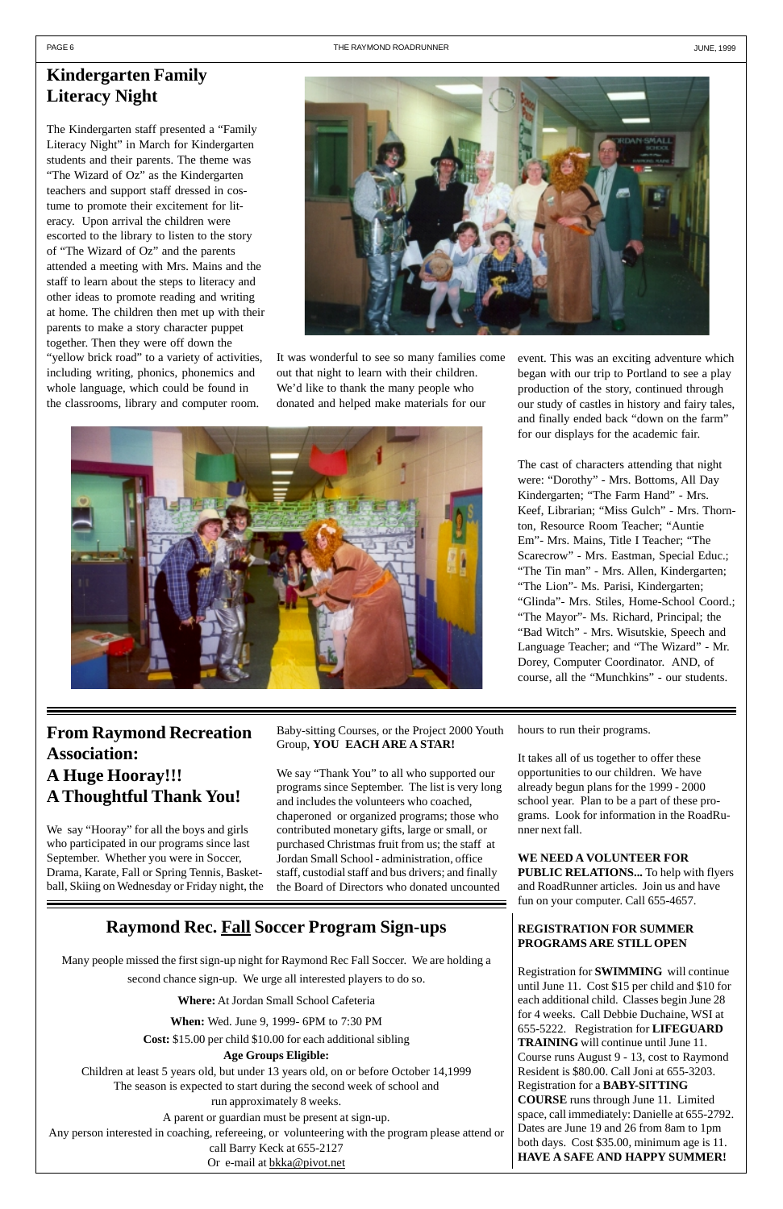#### **Kindergarten Family Literacy Night**

The Kindergarten staff presented a "Family Literacy Night" in March for Kindergarten students and their parents. The theme was "The Wizard of Oz" as the Kindergarten teachers and support staff dressed in costume to promote their excitement for literacy. Upon arrival the children were escorted to the library to listen to the story of "The Wizard of Oz" and the parents attended a meeting with Mrs. Mains and the staff to learn about the steps to literacy and other ideas to promote reading and writing at home. The children then met up with their parents to make a story character puppet together. Then they were off down the "yellow brick road" to a variety of activities, including writing, phonics, phonemics and whole language, which could be found in the classrooms, library and computer room.



It was wonderful to see so many families come out that night to learn with their children. We'd like to thank the many people who donated and helped make materials for our



event. This was an exciting adventure which began with our trip to Portland to see a play production of the story, continued through our study of castles in history and fairy tales, and finally ended back "down on the farm" for our displays for the academic fair.

The cast of characters attending that night were: "Dorothy" - Mrs. Bottoms, All Day Kindergarten; "The Farm Hand" - Mrs. Keef, Librarian; "Miss Gulch" - Mrs. Thornton, Resource Room Teacher; "Auntie Em"- Mrs. Mains, Title I Teacher; "The Scarecrow" - Mrs. Eastman, Special Educ.; "The Tin man" - Mrs. Allen, Kindergarten; "The Lion"- Ms. Parisi, Kindergarten; "Glinda"- Mrs. Stiles, Home-School Coord.; "The Mayor"- Ms. Richard, Principal; the "Bad Witch" - Mrs. Wisutskie, Speech and Language Teacher; and "The Wizard" - Mr. Dorey, Computer Coordinator. AND, of course, all the "Munchkins" - our students.

#### **From Raymond Recreation Association: A Huge Hooray!!! A Thoughtful Thank You!**

We say "Hooray" for all the boys and girls who participated in our programs since last September. Whether you were in Soccer, Drama, Karate, Fall or Spring Tennis, Basketball, Skiing on Wednesday or Friday night, the Baby-sitting Courses, or the Project 2000 Youth Group, **YOU EACH ARE A STAR!**

We say "Thank You" to all who supported our programs since September. The list is very long and includes the volunteers who coached, chaperoned or organized programs; those who contributed monetary gifts, large or small, or purchased Christmas fruit from us; the staff at Jordan Small School - administration, office staff, custodial staff and bus drivers; and finally the Board of Directors who donated uncounted

hours to run their programs.

It takes all of us together to offer these opportunities to our children. We have already begun plans for the 1999 - 2000 school year. Plan to be a part of these programs. Look for information in the RoadRunner next fall.

#### **WE NEED A VOLUNTEER FOR PUBLIC RELATIONS...** To help with flyers and RoadRunner articles. Join us and have

fun on your computer. Call 655-4657.

#### **REGISTRATION FOR SUMMER PROGRAMS ARE STILL OPEN**

Registration for **SWIMMING** will continue until June 11. Cost \$15 per child and \$10 for each additional child. Classes begin June 28 for 4 weeks. Call Debbie Duchaine, WSI at 655-5222. Registration for **LIFEGUARD TRAINING** will continue until June 11. Course runs August 9 - 13, cost to Raymond Resident is \$80.00. Call Joni at 655-3203. Registration for a **BABY-SITTING COURSE** runs through June 11. Limited space, call immediately: Danielle at 655-2792. Dates are June 19 and 26 from 8am to 1pm both days. Cost \$35.00, minimum age is 11. **HAVE A SAFE AND HAPPY SUMMER!**

#### **Raymond Rec. Fall Soccer Program Sign-ups**

Many people missed the first sign-up night for Raymond Rec Fall Soccer. We are holding a

second chance sign-up. We urge all interested players to do so.

**Where:** At Jordan Small School Cafeteria

**When:** Wed. June 9, 1999- 6PM to 7:30 PM

**Cost:** \$15.00 per child \$10.00 for each additional sibling

**Age Groups Eligible:**

Children at least 5 years old, but under 13 years old, on or before October 14,1999 The season is expected to start during the second week of school and run approximately 8 weeks.

A parent or guardian must be present at sign-up.

Any person interested in coaching, refereeing, or volunteering with the program please attend or call Barry Keck at 655-2127 Or e-mail at bkka@pivot.net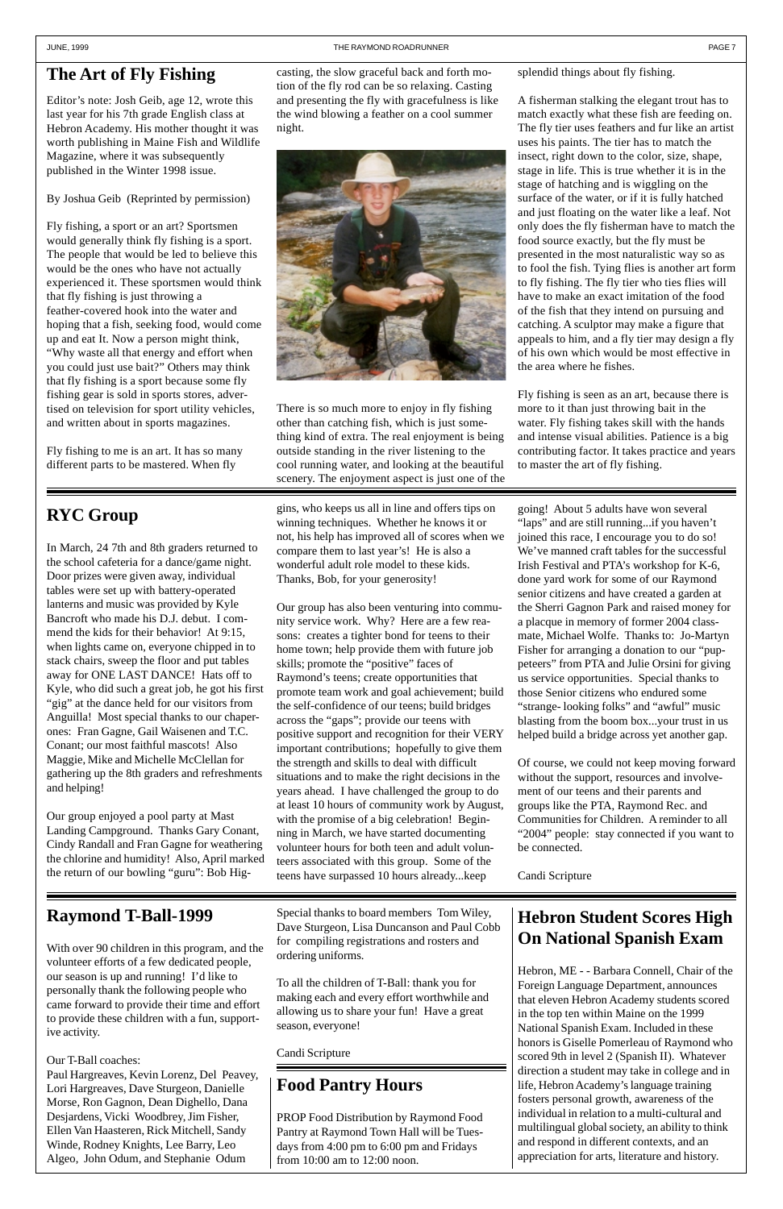## **The Art of Fly Fishing**

Editor's note: Josh Geib, age 12, wrote this last year for his 7th grade English class at Hebron Academy. His mother thought it was worth publishing in Maine Fish and Wildlife Magazine, where it was subsequently published in the Winter 1998 issue.

By Joshua Geib (Reprinted by permission)

Fly fishing, a sport or an art? Sportsmen would generally think fly fishing is a sport. The people that would be led to believe this would be the ones who have not actually experienced it. These sportsmen would think that fly fishing is just throwing a feather-covered hook into the water and hoping that a fish, seeking food, would come up and eat It. Now a person might think, "Why waste all that energy and effort when you could just use bait?" Others may think that fly fishing is a sport because some fly fishing gear is sold in sports stores, advertised on television for sport utility vehicles, and written about in sports magazines.

Fly fishing to me is an art. It has so many different parts to be mastered. When fly

casting, the slow graceful back and forth motion of the fly rod can be so relaxing. Casting and presenting the fly with gracefulness is like the wind blowing a feather on a cool summer night.



There is so much more to enjoy in fly fishing other than catching fish, which is just something kind of extra. The real enjoyment is being outside standing in the river listening to the cool running water, and looking at the beautiful scenery. The enjoyment aspect is just one of the

#### splendid things about fly fishing.

A fisherman stalking the elegant trout has to match exactly what these fish are feeding on. The fly tier uses feathers and fur like an artist uses his paints. The tier has to match the insect, right down to the color, size, shape, stage in life. This is true whether it is in the stage of hatching and is wiggling on the surface of the water, or if it is fully hatched and just floating on the water like a leaf. Not only does the fly fisherman have to match the food source exactly, but the fly must be presented in the most naturalistic way so as to fool the fish. Tying flies is another art form to fly fishing. The fly tier who ties flies will have to make an exact imitation of the food of the fish that they intend on pursuing and catching. A sculptor may make a figure that appeals to him, and a fly tier may design a fly of his own which would be most effective in the area where he fishes.

Fly fishing is seen as an art, because there is more to it than just throwing bait in the water. Fly fishing takes skill with the hands and intense visual abilities. Patience is a big contributing factor. It takes practice and years to master the art of fly fishing.

## **RYC Group**

In March, 24 7th and 8th graders returned to the school cafeteria for a dance/game night. Door prizes were given away, individual tables were set up with battery-operated lanterns and music was provided by Kyle Bancroft who made his D.J. debut. I commend the kids for their behavior! At 9:15, when lights came on, everyone chipped in to stack chairs, sweep the floor and put tables away for ONE LAST DANCE! Hats off to Kyle, who did such a great job, he got his first "gig" at the dance held for our visitors from Anguilla! Most special thanks to our chaperones: Fran Gagne, Gail Waisenen and T.C. Conant; our most faithful mascots! Also Maggie, Mike and Michelle McClellan for gathering up the 8th graders and refreshments and helping!

Our group enjoyed a pool party at Mast Landing Campground. Thanks Gary Conant, Cindy Randall and Fran Gagne for weathering the chlorine and humidity! Also, April marked the return of our bowling "guru": Bob Higgins, who keeps us all in line and offers tips on winning techniques. Whether he knows it or not, his help has improved all of scores when we compare them to last year's! He is also a wonderful adult role model to these kids. Thanks, Bob, for your generosity!

Our group has also been venturing into community service work. Why? Here are a few reasons: creates a tighter bond for teens to their home town; help provide them with future job skills; promote the "positive" faces of Raymond's teens; create opportunities that promote team work and goal achievement; build the self-confidence of our teens; build bridges across the "gaps"; provide our teens with positive support and recognition for their VERY important contributions; hopefully to give them the strength and skills to deal with difficult situations and to make the right decisions in the years ahead. I have challenged the group to do at least 10 hours of community work by August, with the promise of a big celebration! Beginning in March, we have started documenting volunteer hours for both teen and adult volunteers associated with this group. Some of the teens have surpassed 10 hours already...keep

going! About 5 adults have won several "laps" and are still running...if you haven't joined this race, I encourage you to do so! We've manned craft tables for the successful Irish Festival and PTA's workshop for K-6, done yard work for some of our Raymond senior citizens and have created a garden at the Sherri Gagnon Park and raised money for a placque in memory of former 2004 classmate, Michael Wolfe. Thanks to: Jo-Martyn Fisher for arranging a donation to our "puppeteers" from PTA and Julie Orsini for giving us service opportunities. Special thanks to those Senior citizens who endured some "strange- looking folks" and "awful" music blasting from the boom box...your trust in us helped build a bridge across yet another gap.

Of course, we could not keep moving forward without the support, resources and involvement of our teens and their parents and groups like the PTA, Raymond Rec. and Communities for Children. A reminder to all "2004" people: stay connected if you want to be connected.

#### Candi Scripture

#### **Raymond T-Ball-1999**

With over 90 children in this program, and the volunteer efforts of a few dedicated people, our season is up and running! I'd like to personally thank the following people who came forward to provide their time and effort to provide these children with a fun, supportive activity.

#### Our T-Ball coaches:

Paul Hargreaves, Kevin Lorenz, Del Peavey, Lori Hargreaves, Dave Sturgeon, Danielle Morse, Ron Gagnon, Dean Dighello, Dana Desjardens, Vicki Woodbrey, Jim Fisher, Ellen Van Haasteren, Rick Mitchell, Sandy Winde, Rodney Knights, Lee Barry, Leo Algeo, John Odum, and Stephanie Odum

#### **Hebron Student Scores High On National Spanish Exam**

Hebron, ME - - Barbara Connell, Chair of the Foreign Language Department, announces that eleven Hebron Academy students scored in the top ten within Maine on the 1999 National Spanish Exam. Included in these honors is Giselle Pomerleau of Raymond who scored 9th in level 2 (Spanish II). Whatever direction a student may take in college and in life, Hebron Academy's language training fosters personal growth, awareness of the individual in relation to a multi-cultural and multilingual global society, an ability to think and respond in different contexts, and an appreciation for arts, literature and history.

Special thanks to board members Tom Wiley, Dave Sturgeon, Lisa Duncanson and Paul Cobb for compiling registrations and rosters and ordering uniforms.

To all the children of T-Ball: thank you for making each and every effort worthwhile and allowing us to share your fun! Have a great season, everyone!

#### Candi Scripture

# **Food Pantry Hours**

PROP Food Distribution by Raymond Food Pantry at Raymond Town Hall will be Tuesdays from 4:00 pm to 6:00 pm and Fridays from 10:00 am to 12:00 noon.